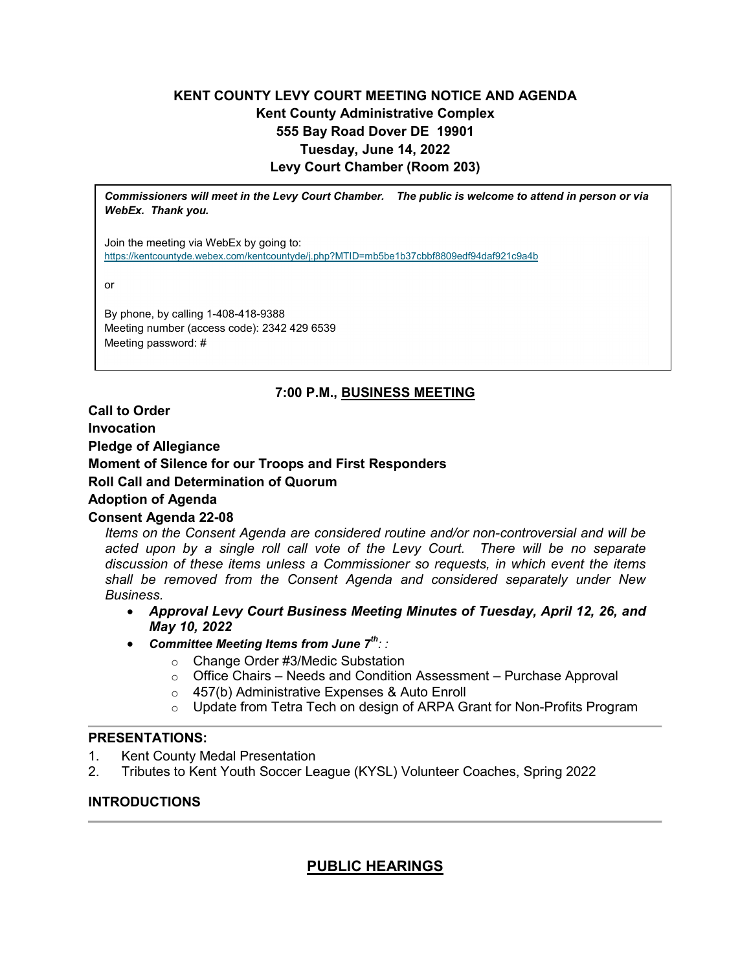# **KENT COUNTY LEVY COURT MEETING NOTICE AND AGENDA Kent County Administrative Complex 555 Bay Road Dover DE 19901 Tuesday, June 14, 2022 Levy Court Chamber (Room 203)**

*Commissioners will meet in the Levy Court Chamber. The public is welcome to attend in person or via WebEx. Thank you.*

Join the meeting via WebEx by going to: <https://kentcountyde.webex.com/kentcountyde/j.php?MTID=mb5be1b37cbbf8809edf94daf921c9a4b>

or

By phone, by calling 1-408-418-9388 Meeting number (access code): 2342 429 6539 Meeting password: #

# **7:00 P.M., BUSINESS MEETING**

**Call to Order Invocation Pledge of Allegiance Moment of Silence for our Troops and First Responders Roll Call and Determination of Quorum Adoption of Agenda Consent Agenda 22-08**

*Items on the Consent Agenda are considered routine and/or non-controversial and will be acted upon by a single roll call vote of the Levy Court. There will be no separate discussion of these items unless a Commissioner so requests, in which event the items shall be removed from the Consent Agenda and considered separately under New Business.*

- *Approval Levy Court Business Meeting Minutes of Tuesday, April 12, 26, and May 10, 2022*
- *Committee Meeting Items from June 7th: :* 
	- o Change Order #3/Medic Substation
	- o Office Chairs Needs and Condition Assessment Purchase Approval
	- o 457(b) Administrative Expenses & Auto Enroll
	- o Update from Tetra Tech on design of ARPA Grant for Non-Profits Program

### **PRESENTATIONS:**

- 1. Kent County Medal Presentation
- 2. Tributes to Kent Youth Soccer League (KYSL) Volunteer Coaches, Spring 2022

# **INTRODUCTIONS**

# **PUBLIC HEARINGS**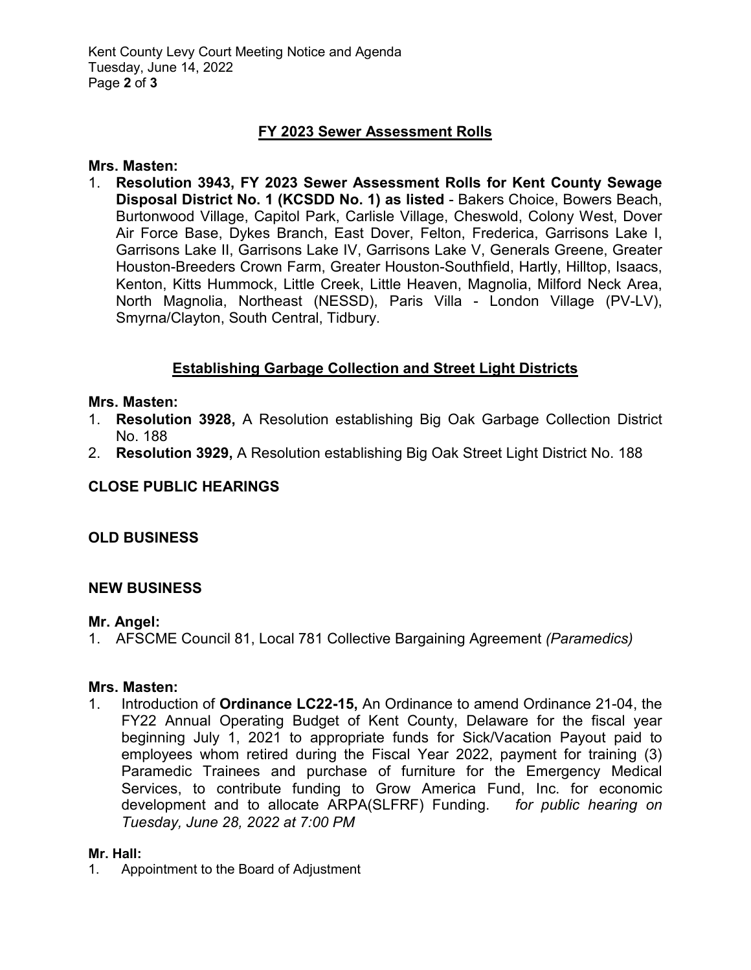# **FY 2023 Sewer Assessment Rolls**

### **Mrs. Masten:**

1. **Resolution 3943, FY 2023 Sewer Assessment Rolls for Kent County Sewage Disposal District No. 1 (KCSDD No. 1) as listed** - Bakers Choice, Bowers Beach, Burtonwood Village, Capitol Park, Carlisle Village, Cheswold, Colony West, Dover Air Force Base, Dykes Branch, East Dover, Felton, Frederica, Garrisons Lake I, Garrisons Lake II, Garrisons Lake IV, Garrisons Lake V, Generals Greene, Greater Houston-Breeders Crown Farm, Greater Houston-Southfield, Hartly, Hilltop, Isaacs, Kenton, Kitts Hummock, Little Creek, Little Heaven, Magnolia, Milford Neck Area, North Magnolia, Northeast (NESSD), Paris Villa - London Village (PV-LV), Smyrna/Clayton, South Central, Tidbury.

# **Establishing Garbage Collection and Street Light Districts**

### **Mrs. Masten:**

- 1. **Resolution 3928,** A Resolution establishing Big Oak Garbage Collection District No. 188
- 2. **Resolution 3929,** A Resolution establishing Big Oak Street Light District No. 188

# **CLOSE PUBLIC HEARINGS**

# **OLD BUSINESS**

# **NEW BUSINESS**

### **Mr. Angel:**

1. AFSCME Council 81, Local 781 Collective Bargaining Agreement *(Paramedics)*

### **Mrs. Masten:**

1. Introduction of **Ordinance LC22-15,** An Ordinance to amend Ordinance 21-04, the FY22 Annual Operating Budget of Kent County, Delaware for the fiscal year beginning July 1, 2021 to appropriate funds for Sick/Vacation Payout paid to employees whom retired during the Fiscal Year 2022, payment for training (3) Paramedic Trainees and purchase of furniture for the Emergency Medical Services, to contribute funding to Grow America Fund, Inc. for economic development and to allocate ARPA(SLFRF) Funding. *for public hearing on Tuesday, June 28, 2022 at 7:00 PM*

### **Mr. Hall:**

1. Appointment to the Board of Adjustment